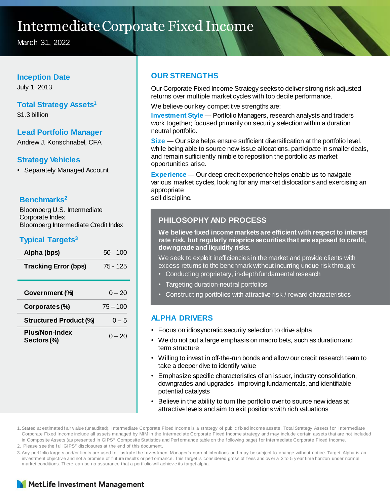## Intermediate Corporate Fixed Income

March 31, 2022

## **Inception Date**

July 1, 2013

## **Total Strategy Assets<sup>1</sup>**

\$1.3 billion

**Lead Portfolio Manager**

Andrew J. Konschnabel, CFA

## **Strategy Vehicles**

• Separately Managed Account

### **Benchmarks<sup>2</sup>**

Bloomberg U.S. Intermediate Corporate Index Bloomberg Intermediate Credit Index

## **Typical Targets<sup>3</sup>**

| Alpha (bps)                   | $50 - 100$ |
|-------------------------------|------------|
| <b>Tracking Error (bps)</b>   | 75 - 125   |
| Government (%)                | $0 - 20$   |
| Corporates (%)                | $75 - 100$ |
| <b>Structured Product (%)</b> | $0 - 5$    |
| Plus/Non-Index<br>Sectors (%) | $0 - 20$   |

## **OUR STRENGTHS**

Our Corporate Fixed Income Strategy seeks to deliver strong risk adjusted returns over multiple market cycles with top decile performance.

We believe our key competitive strengths are:

**Investment Style** — Portfolio Managers, research analysts and traders work together; focused primarily on security selection within a duration neutral portfolio.

**Size** — Our size helps ensure sufficient diversification at the portfolio level, while being able to source new issue allocations, participate in smaller deals, and remain sufficiently nimble to reposition the portfolio as market opportunities arise.

**Experience** — Our deep credit experience helps enable us to navigate various market cycles, looking for any market dislocations and exercising an appropriate sell discipline.

## **PHILOSOPHY AND PROCESS**

**We believe fixed income markets are efficient with respect to interest rate risk, but regularly misprice securities that are exposed to credit, downgrade and liquidity risks.** 

We seek to exploit inefficiencies in the market and provide clients with excess returns to the benchmark without incurring undue risk through:

- Conducting proprietary, in-depth fundamental research
- Targeting duration-neutral portfolios
- Constructing portfolios with attractive risk / reward characteristics

### **ALPHA DRIVERS**

- Focus on idiosyncratic security selection to drive alpha
- We do not put a large emphasis on macro bets, such as duration and term structure
- Willing to invest in off-the-run bonds and allow our credit research team to take a deeper dive to identify value
- Emphasize specific characteristics of an issuer, industry consolidation, downgrades and upgrades, improving fundamentals, and identifiable potential catalysts
- Believe in the ability to turn the portfolio over to source new ideas at attractive levels and aim to exit positions with rich valuations

2. Please see the f ull GIPS® disclosures at the end of this document.

<sup>3.</sup>Any portf olio targets and/or limits are used to illustrate the Inv estment Manager's current intentions and may be subject to change without notice. Target Alpha is an inv estment objective and not a promise of future results or perf ormance. This target is considered gross of fees and over a 3 to 5 y ear time horizon under normal market conditions. There can be no assurance that a portf olio will achiev e its target alpha.



<sup>1.</sup> Stated at estimated fair value (unaudited). Intermediate Corporate Fixed Income is a strategy of public fixed income assets. Total Strategy Assets for Intermediate Corporate Fixed Income include all assets managed by MIM in the Intermediate Corporate Fixed Income strategy and may include certain assets that are not included in Composite Assets (as presented in GIPS® Composite Statistics and Perf ormance table on the following page) for Intermediate Corporate Fixed Income.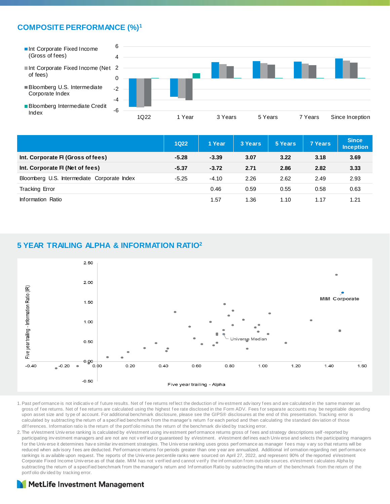## **COMPOSITE PERFORMANCE (%)<sup>1</sup>**

6











|                                             | <b>1Q22</b> | 1 Year  | 3 Years | 5 Years | <b>7 Years</b> | <b>Since</b><br><b>Inception</b> |
|---------------------------------------------|-------------|---------|---------|---------|----------------|----------------------------------|
| Int. Corporate FI (Gross of fees)           | $-5.28$     | $-3.39$ | 3.07    | 3.22    | 3.18           | 3.69                             |
| Int. Corporate FI (Net of fees)             | $-5.37$     | $-3.72$ | 2.71    | 2.86    | 2.82           | 3.33                             |
| Bloomberg U.S. Intermediate Corporate Index | $-5.25$     | $-4.10$ | 2.26    | 2.62    | 2.49           | 2.93                             |
| <b>Tracking Error</b>                       |             | 0.46    | 0.59    | 0.55    | 0.58           | 0.63                             |
| Information Ratio                           |             | 1.57    | 1.36    | 1.10    | 1.17           | 1.21                             |

## **5 YEAR TRAILING ALPHA & INFORMATION RATIO<sup>2</sup>**



- 1.Past perf ormance is not indicativ e of f uture results. Net of f ee returns ref lect the deduction of inv estment adv isory f ees and are calculated in the same manner as gross of fee returns. Net of fee returns are calculated using the highest fee rate disclosed in the Form ADV. Fees for separate accounts may be negotiable depending upon asset size and ty pe of account. For additional benchmark disclosure, please see the GIPS® disclosures at the end of this presentation. Tracking error is calculated by subtracting the return of a specified benchmark from the manager's return for each period and then calculating the standard deviation of those dif f erences. Information ratio is the return of the portf olio minus the return of the benchmark divided by tracking error.
- 2. The eVestment Universe ranking is calculated by eVestment using investment performance returns gross of fees and strategy descriptions self-reported by participating investment managers and are not are not verified or guaranteed by eVestment. eVestment defines each Universe and selects the participating managers for the Univ erse it determines have similar investment strategies. The Universe ranking uses gross performance as manager fees may vary so that returns will be reduced when advisory fees are deducted. Performance returns for periods greater than one y ear are annualized. Additional information regarding net performance rankings is av ailable upon request. The reports of the Universe percentile ranks were sourced on April 27, 2022, and represent 90% of the reported eVestment Corporate Fixed Income Univ erse as of that date. MIM has not v erif ied and cannot v erif y the inf ormation f rom outside sources. eVestment calculates Alpha by subtracting the return of a specified benchmark from the manager's return and Information Ratio by subtracting the return of the benchmark from the return of the portf olio div ided by tracking error.

## **MetLife Investment Management**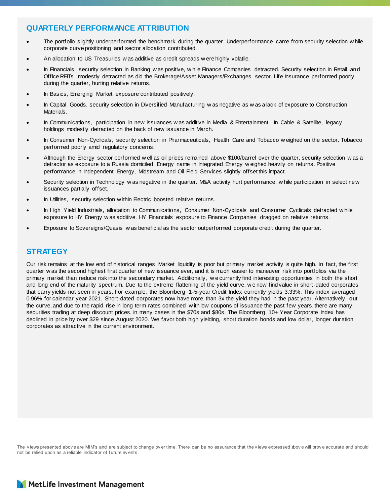## **QUARTERLY PERFORMANCE ATTRIBUTION**

- The portfolio slightly underperformed the benchmark during the quarter. Underperformance came from security selection w hile corporate curve positioning and sector allocation contributed.
- An allocation to US Treasuries w as additive as credit spreads w ere highly volatile.
- In Financials, security selection in Banking w as positive, w hile Finance Companies detracted. Security selection in Retail and Office REITs modestly detracted as did the Brokerage/Asset Managers/Exchanges sector. Life Insurance performed poorly during the quarter, hurting relative returns.
- In Basics, Emerging Market exposure contributed positively.
- In Capital Goods, security selection in Diversified Manufacturing w as negative as w as a lack of exposure to Construction Materials.
- In Communications, participation in new issuances w as additive in Media & Entertainment. In Cable & Satellite, legacy holdings modestly detracted on the back of new issuance in March.
- In Consumer Non-Cyclicals, security selection in Pharmaceuticals, Health Care and Tobacco w eighed on the sector. Tobacco performed poorly amid regulatory concerns.
- Although the Energy sector performed w ell as oil prices remained above \$100/barrel over the quarter, security selection w as a detractor as exposure to a Russia domiciled Energy name in Integrated Energy w eighed heavily on returns. Positive performance in Independent Energy, Midstream and Oil Field Services slightly offset this impact.
- Security selection in Technology w as negative in the quarter. M&A activity hurt performance, w hile participation in select new issuances partially offset.
- In Utilities, security selection w ithin Electric boosted relative returns.
- In High Yield Industrials, allocation to Communications, Consumer Non-Cyclicals and Consumer Cyclicals detracted w hile exposure to HY Energy w as additive. HY Financials exposure to Finance Companies dragged on relative returns.
- Exposure to Sovereigns/Quasis w as beneficial as the sector outperformed corporate credit during the quarter.

#### **STRATEGY**

Our risk remains at the low end of historical ranges. Market liquidity is poor but primary market activity is quite high. In fact, the first quarter w as the second highest first quarter of new issuance ever, and it is much easier to maneuver risk into portfolios via the primary market than reduce risk into the secondary market. Additionally, w e currently find interesting opportunities in both the short and long end of the maturity spectrum. Due to the extreme flattening of the yield curve, w e now find value in short-dated corporates that carry yields not seen in years. For example, the Bloomberg 1-5-year Credit Index currently yields 3.33%. This index averaged 0.96% for calendar year 2021. Short-dated corporates now have more than 3x the yield they had in the past year. Alternatively, out the curve, and due to the rapid rise in long term rates combined w ith low coupons of issuance the past few years, there are many securities trading at deep discount prices, in many cases in the \$70s and \$80s. The Bloomberg 10+ Year Corporate Index has declined in price by over \$29 since August 2020. We favor both high yielding, short duration bonds and low dollar, longer duration corporates as attractive in the current environment.

The views presented above are MIM's and are subject to change over time. There can be no assurance that the views expressed above will prove accurate and should not be relied upon as a reliable indicator of f uture ev ents.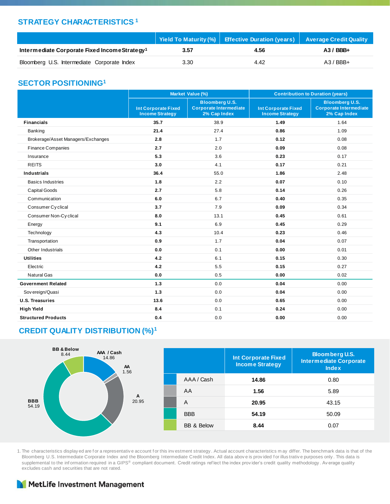## **STRATEGY CHARACTERISTICS <sup>1</sup>**

|                                                           |      | Yield To Maturity (%)   Effective Duration (years)   Average Credit Quality |             |  |
|-----------------------------------------------------------|------|-----------------------------------------------------------------------------|-------------|--|
| Intermediate Corporate Fixed Income Strategy <sup>1</sup> | 3.57 | 4.56                                                                        | $A3$ / BBB+ |  |
| Bloomberg U.S. Intermediate Corporate Index               | 3.30 | 4.42                                                                        | $A3/BBB+$   |  |

## **SECTOR POSITIONING<sup>1</sup>**

|                                    |                                                      | Market Value (%)                                                       | <b>Contribution to Duration (years)</b>              |                                                                        |  |  |
|------------------------------------|------------------------------------------------------|------------------------------------------------------------------------|------------------------------------------------------|------------------------------------------------------------------------|--|--|
|                                    | <b>Int Corporate Fixed</b><br><b>Income Strategy</b> | <b>Bloomberg U.S.</b><br><b>Corporate Intermediate</b><br>2% Cap Index | <b>Int Corporate Fixed</b><br><b>Income Strategy</b> | <b>Bloomberg U.S.</b><br><b>Corporate Intermediate</b><br>2% Cap Index |  |  |
| <b>Financials</b>                  | 35.7                                                 | 38.9                                                                   | 1.49                                                 | 1.64                                                                   |  |  |
| Banking                            | 21.4                                                 | 27.4                                                                   | 0.86                                                 | 1.09                                                                   |  |  |
| Brokerage/Asset Managers/Exchanges | 2.8                                                  | 1.7                                                                    | 0.12                                                 | 0.08                                                                   |  |  |
| <b>Finance Companies</b>           | 2.7                                                  | 2.0                                                                    | 0.09                                                 | 0.08                                                                   |  |  |
| Insurance                          | 5.3                                                  | 3.6                                                                    | 0.23                                                 | 0.17                                                                   |  |  |
| <b>REITS</b>                       | 3.0                                                  | 4.1                                                                    | 0.17                                                 | 0.21                                                                   |  |  |
| <b>Industrials</b>                 | 36.4                                                 | 55.0                                                                   | 1.86                                                 | 2.48                                                                   |  |  |
| <b>Basics Industries</b>           | 1.8                                                  | 2.2                                                                    | 0.07                                                 | 0.10                                                                   |  |  |
| Capital Goods                      | 2.7                                                  | 5.8                                                                    | 0.14                                                 | 0.26                                                                   |  |  |
| Communication                      | 6.0                                                  | 6.7                                                                    | 0.40                                                 | 0.35                                                                   |  |  |
| Consumer Cyclical                  | 3.7                                                  | 7.9                                                                    | 0.09                                                 | 0.34                                                                   |  |  |
| Consumer Non-Cy clical             | 8.0                                                  | 13.1                                                                   | 0.45                                                 | 0.61                                                                   |  |  |
| Energy                             | 9.1                                                  | 6.9                                                                    | 0.45                                                 | 0.29                                                                   |  |  |
| Technology                         | 4.3                                                  | 10.4                                                                   | 0.23                                                 | 0.46                                                                   |  |  |
| Transportation                     | 0.9                                                  | 1.7                                                                    | 0.04                                                 | 0.07                                                                   |  |  |
| <b>Other Industrials</b>           | 0.0                                                  | 0.1                                                                    | 0.00                                                 | 0.01                                                                   |  |  |
| <b>Utilities</b>                   | 4.2                                                  | 6.1                                                                    | 0.15                                                 | 0.30                                                                   |  |  |
| Electric                           | 4.2                                                  | 5.5                                                                    | 0.15                                                 | 0.27                                                                   |  |  |
| <b>Natural Gas</b>                 | 0.0                                                  | 0.5                                                                    | 0.00                                                 | 0.02                                                                   |  |  |
| <b>Government Related</b>          | $1.3$                                                | 0.0                                                                    | 0.04                                                 | 0.00                                                                   |  |  |
| Sov ereign/Quasi                   | $1.3$                                                | 0.0                                                                    | 0.04                                                 | 0.00                                                                   |  |  |
| <b>U.S. Treasuries</b>             | 13.6                                                 | 0.0                                                                    | 0.65                                                 | 0.00                                                                   |  |  |
| <b>High Yield</b>                  | 8.4                                                  | 0.1                                                                    | 0.24                                                 | 0.00                                                                   |  |  |
| <b>Structured Products</b>         | 0.4                                                  | 0.0                                                                    | 0.00                                                 | 0.00                                                                   |  |  |

## **CREDIT QUALITY DISTRIBUTION (%)<sup>1</sup>**



1. The characteristics display ed are for a representative account for this investment strategy. Actual account characteristics may differ. The benchmark data is that of the Bloomberg U.S. Intermediate Corporate Index and the Bloomberg Intermediate Credit Index. All data above is provided for illus trative purposes only. This data is supplemental to the information required in a GIPS® compliant document. Credit ratings reflect the index provider's credit quality methodology. Av erage quality excludes cash and securities that are not rated.

## MetLife Investment Management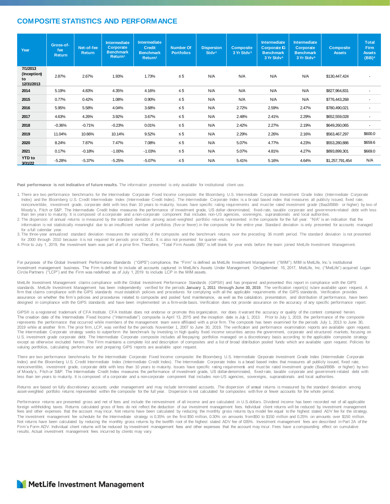### **COMPOSITE STATISTICS AND PERFORMANCE**

| Year                                        | Gross-of-<br>fee<br><b>Return</b> | Net-of-fee<br><b>Return</b> | Intermediate<br>Corporate<br><b>Benchmark</b><br>Return <sup>1</sup> | <b>Intermediate</b><br><b>Credit</b><br><b>Benchmark</b><br>Return <sup>1</sup> | <b>Number Of</b><br><b>Portfolios</b> | <b>Dispersion</b><br>Stdy <sup>2</sup> | <b>Composite</b><br>3 Yr Stdv3 | Intermediate<br><b>Corporate IG</b><br><b>Benchmark</b><br>3 Yr Stdv3 | <b>Intermediate</b><br>Corporate<br><b>Benchmark</b><br>3 Yr Stdv3 | <b>Composite</b><br><b>Assets</b> | <b>Total</b><br><b>Firm</b><br><b>Assets</b><br>(BB) <sup>4</sup> |
|---------------------------------------------|-----------------------------------|-----------------------------|----------------------------------------------------------------------|---------------------------------------------------------------------------------|---------------------------------------|----------------------------------------|--------------------------------|-----------------------------------------------------------------------|--------------------------------------------------------------------|-----------------------------------|-------------------------------------------------------------------|
| 7/1/2013<br>(Inception)<br>to<br>12/31/2013 | 2.87%                             | 2.67%                       | 1.93%                                                                | 1.73%                                                                           | $\leq 5$                              | N/A                                    | N/A                            | N/A                                                                   | N/A                                                                | \$130,447,424                     |                                                                   |
| 2014                                        | 5.19%                             | 4.83%                       | 4.35%                                                                | 4.16%                                                                           | $\leq 5$                              | N/A                                    | N/A                            | N/A                                                                   | N/A                                                                | \$827,964,831                     |                                                                   |
| 2015                                        | 0.77%                             | 0.42%                       | 1.08%                                                                | 0.90%                                                                           | $\leq 5$                              | N/A                                    | N/A                            | N/A                                                                   | N/A                                                                | \$776,443,268                     |                                                                   |
| 2016                                        | 5.95%                             | 5.58%                       | 4.04%                                                                | 3.68%                                                                           | $\leq 5$                              | N/A                                    | 2.72%                          | 2.59%                                                                 | 2.47%                                                              | \$780,490,021                     |                                                                   |
| 2017                                        | 4.63%                             | 4.26%                       | 3.92%                                                                | 3.67%                                                                           | $\leq 5$                              | N/A                                    | 2.48%                          | 2.41%                                                                 | 2.29%                                                              | \$652,559,028                     |                                                                   |
| 2018                                        | $-0.36%$                          | $-0.71%$                    | $-0.23%$                                                             | 0.01%                                                                           | $\leq 5$                              | N/A                                    | 2.42%                          | 2.27%                                                                 | 2.19%                                                              | \$649,260,065                     |                                                                   |
| 2019                                        | 11.04%                            | 10.66%                      | 10.14%                                                               | 9.52%                                                                           | $\leq 5$                              | N/A                                    | 2.29%                          | 2.26%                                                                 | 2.16%                                                              | \$563,467,297                     | \$600.0                                                           |
| 2020                                        | 8.24%                             | 7.87%                       | 7.47%                                                                | 7.08%                                                                           | $\leq 5$                              | N/A                                    | 5.07%                          | 4.77%                                                                 | 4.23%                                                              | \$553,280,886                     | \$659.6                                                           |
| 2021                                        | 0.17%                             | $-0.18%$                    | $-1.00%$                                                             | $-1.03%$                                                                        | $\leq 5$                              | N/A                                    | 5.07%                          | 4.81%                                                                 | 4.27%                                                              | \$893,899,301                     | \$669.0                                                           |
| YTD to<br>3/31/22                           | $-5.28%$                          | $-5.37%$                    | $-5.25%$                                                             | $-5.07%$                                                                        | $\leq 5$                              | N/A                                    | 5.41%                          | 5.16%                                                                 | 4.64%                                                              | \$1,257,791,454                   | N/A                                                               |

**Past performance is not indicative of future results.** The information presented is only available for institutional client use.

1. There are two performance benchmarks for the Intermediate Corporate Fixed Income composite: the Bloomberg U.S. Intermediate Corporate Investment Grade Index (Intermediate Corporate Index) and the Bloomberg U.S. Credit Intermediate Index (Intermediate Credit Index). The Intermediate Corporate Index is a broad based index that measures all publicly issued, fixed rate, nonconvertible, investment grade, corporate debt with less than 10 years to maturity. Issues have specific rating requirements and must be rated investment grade (Baa3/BBB- or higher) by two of Moody's, Fitch or S&P. The Intermediate Credit Index measures the performance of investment grade, US dollar-denominated, fixed-rate, taxable corporate and government-related debt with less than ten years to maturity. It is composed of a corporate and a non-corporate component that includes non-US agencies, sovereigns, supranationals and local authorities.

2. The dispersion of annual returns is measured by the standard deviation among asset-weighted portfolio returns represented in the composite for the full year. "N/A" is an indication that the information is not statistically meaningful due to an insufficient number of portfolios (five or fewer) in the composite for the entire year. Standard deviation is only presented for accounts managed for a full calendar year.

3. The three-year annualized standard deviation measures the variability of the composite and the benchmark returns over the preceding 36 month period. The standard deviation is not presented for 2000 through 2010 because it is not required for periods prior to 2011. It is also not presented for quarter-ends.

4. Prior to July 1, 2019, the investment team was part of a prior firm. Therefore, "Total Firm Assets (BB)" is left blank for year ends before the team joined MetLife Investment Management.

For purposes of the Global Investment Performance Standards ("GIPS") compliance, the "Firm" is defined as MetLife Investment Management ("MIM"). MIM is MetLife, Inc.'s institutional investment management business. The Firm is defined to include all accounts captured in MetLife's Assets Under Management. OnSeptember 15, 2017, MetLife, Inc. ("MetLife") acquired Logan Circle Partners ("LCP") and the Firm was redefined as of July 1, 2019 to include LCP in the MIM assets.

MetLife Investment Management claims compliance with the Global Investment Performance Standards (GIPS®) and has prepared and presented this report in compliance with the GIPS standards. MetLife Investment Management has been independently verified for the periods **January 1, 2011 through June 30, 2019**. The verification report(s) is/are available upon request. A firm that claims compliance with the GIPS standards must establish policies and procedures for complying with all the applicable requirements of the GIPS standards. Verification provides assurance on whether the firm's policies and procedures related to composite and pooled fund maintenance, as well as the calculation, presentation, and distribution of performance, have been designed in compliance with the GIPS standards and have been implemented on a firm-wide basis. Verification does not provide assurance on the accuracy of any specific performance report.

GIPS® is a registered trademark of CFA Institute. CFA Institute does not endorse or promote this organization, nor does it warrant the accuracy or quality of the content contained herein. The creation date of the Intermediate Fixed Income ("Intermediate") composite is April 13, 2015 and the inception date is July 1, 2013. Prior to July 1, 2019, the performance of the composite represents the performance that occurred while members of the management team were affiliated with a prior firm. The composite has been examined for the periods July 1, 2013 to June 30, 2019 while at another firm. The prior firm, LCP, was verified for the periods November 1, 2007 to June 30, 2019. The verification and performance examination reports are available upon request. The Intermediate Corporate strategy seeks to outperform the benchmark by investing in high quality fixed income securities across the government, corporate and structured markets, focusing on U.S. investment grade corporate debt. The Intermediate Corporate composite includes all fee paying portfolios managed on a discretionary basis according to the applicable composite strategy except as otherwise excluded herein. The Firm maintains a complete list and description of composites and a list of broad distribution pooled funds which are available upon request. Policies for valuing portfolios, calculating performance and preparing GIPS reports are available upon request.

There are two performance benchmarks for the Intermediate Corporate Fixed Income composite: the Bloomberg U.S. Intermediate Corporate Investment Grade Index (Intermediate Corporate Index) and the Bloomberg U.S. Credit Intermediate Index (Intermediate Credit Index). The Intermediate Corporate Index is a boad based index that measures all publicly issued, fixed rate, nonconvertible, investment grade, corporate debt with less than 10 years to maturity. Issues have specific rating requirements and must be rated investment grade (Baa3/BBB- or higher) by two of Moody's, Fitch or S&P. The Intermediate Credit Index measures the performance of investment grade, US dollar-denominated, fixed-rate, taxable corporate and government-related debt with less than ten years to maturity. It is composed of a corporate and a non-corporate component that includes non-US agencies, sovereigns, supranationals and local authorities.

Returns are based on fully discretionary accounts under management and may include terminated accounts. The dispersion of annual returns is measured by the standard deviation among asset-weighted portfolio returns represented within the composite for the full year. Dispersion is not calculated for composites with five or fewer accounts for the whole period.

Performance returns are presented gross and net of fees and include the reinvestment of all income and are calculated in U.S.dollars. Dividend income has been recorded net of all applicable foreign withholding taxes. Returns calculated gross of fees do not reflect the deduction of our investment management fees. hdividual client returns will be reduced by investment management fees and other expenses that the account may incur. Net returns have been calculated by reducing the monthly gross returns bya model fee equal to the highest stated ADV fee for the strategy. The investment management fee schedule for the Intermediate strategy is 0.35% on the first \$50 million, 0.30% on amounts from\$50 to \$150 million and 0.25% on amounts over \$150 million. Net returns have been calculated by reducing the monthly gross returns by the twelfth root of the highest stated ADV fee of 035%. Investment management fees are described in Part 2A of the Firm's Form ADV. Individual client returns will be reduced by investment management fees and other expenses that the account may incur. Fees have a compounding effect on cumulative results. Actual investment management fees incurred by clients may vary.

MetLife Investment Management